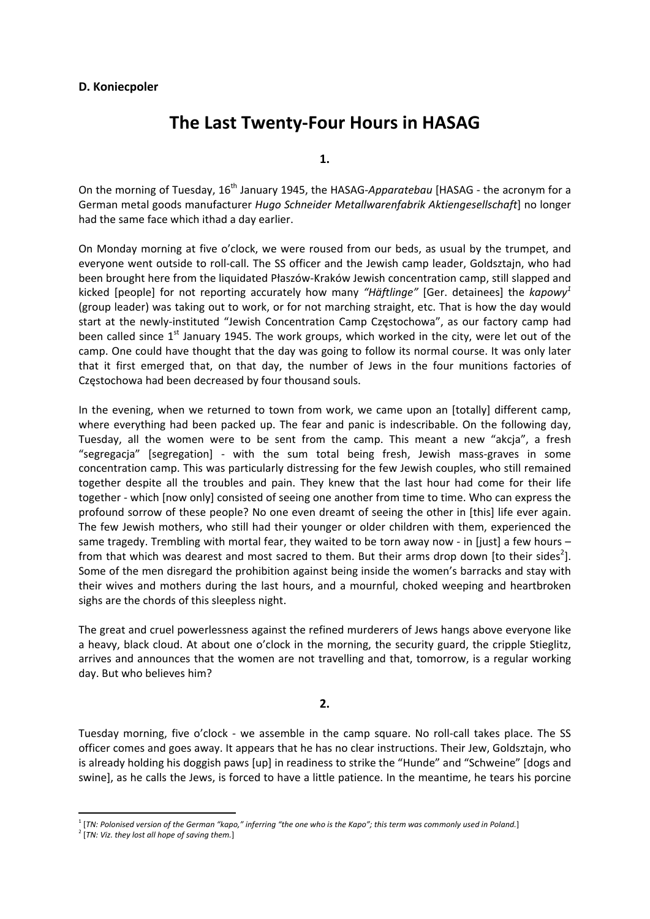# **D. Koniecpoler**

# **The Last Twenty‐Four Hours in HASAG**

**1.**

On the morning of Tuesday, 16th January 1945, the HASAG‐*Apparatebau* [HASAG ‐ the acronym for a German metal goods manufacturer *Hugo Schneider Metallwarenfabrik Aktiengesellschaft*] no longer had the same face which ithad a day earlier.

On Monday morning at five o'clock, we were roused from our beds, as usual by the trumpet, and everyone went outside to roll-call. The SS officer and the Jewish camp leader, Goldsztajn, who had been brought here from the liquidated Płaszów‐Kraków Jewish concentration camp, still slapped and kicked [people] for not reporting accurately how many *"Häftlinge"* [Ger. detainees] the *kapowy<sup>1</sup>* (group leader) was taking out to work, or for not marching straight, etc. That is how the day would start at the newly-instituted "Jewish Concentration Camp Częstochowa", as our factory camp had been called since  $1<sup>st</sup>$  January 1945. The work groups, which worked in the city, were let out of the camp. One could have thought that the day was going to follow its normal course. It was only later that it first emerged that, on that day, the number of Jews in the four munitions factories of Częstochowa had been decreased by four thousand souls.

In the evening, when we returned to town from work, we came upon an [totally] different camp, where everything had been packed up. The fear and panic is indescribable. On the following day, Tuesday, all the women were to be sent from the camp. This meant a new "akcja", a fresh "segregacja" [segregation] ‐ with the sum total being fresh, Jewish mass‐graves in some concentration camp. This was particularly distressing for the few Jewish couples, who still remained together despite all the troubles and pain. They knew that the last hour had come for their life together ‐ which [now only] consisted of seeing one another from time to time. Who can express the profound sorrow of these people? No one even dreamt of seeing the other in [this] life ever again. The few Jewish mothers, who still had their younger or older children with them, experienced the same tragedy. Trembling with mortal fear, they waited to be torn away now - in [just] a few hours – from that which was dearest and most sacred to them. But their arms drop down [to their sides<sup>2</sup>]. Some of the men disregard the prohibition against being inside the women's barracks and stay with their wives and mothers during the last hours, and a mournful, choked weeping and heartbroken sighs are the chords of this sleepless night.

The great and cruel powerlessness against the refined murderers of Jews hangs above everyone like a heavy, black cloud. At about one o'clock in the morning, the security guard, the cripple Stieglitz, arrives and announces that the women are not travelling and that, tomorrow, is a regular working day. But who believes him?

## **2.**

Tuesday morning, five o'clock - we assemble in the camp square. No roll-call takes place. The SS officer comes and goes away. It appears that he has no clear instructions. Their Jew, Goldsztajn, who is already holding his doggish paws [up] in readiness to strike the "Hunde" and "Schweine" [dogs and swine], as he calls the Jews, is forced to have a little patience. In the meantime, he tears his porcine

<sup>&</sup>lt;sup>1</sup> [TN: Polonised version of the German "kapo," inferring "the one who is the Kapo"; this term was commonly used in Poland.]

<sup>2</sup> [*TN: Viz. they lost all hope of saving them.*]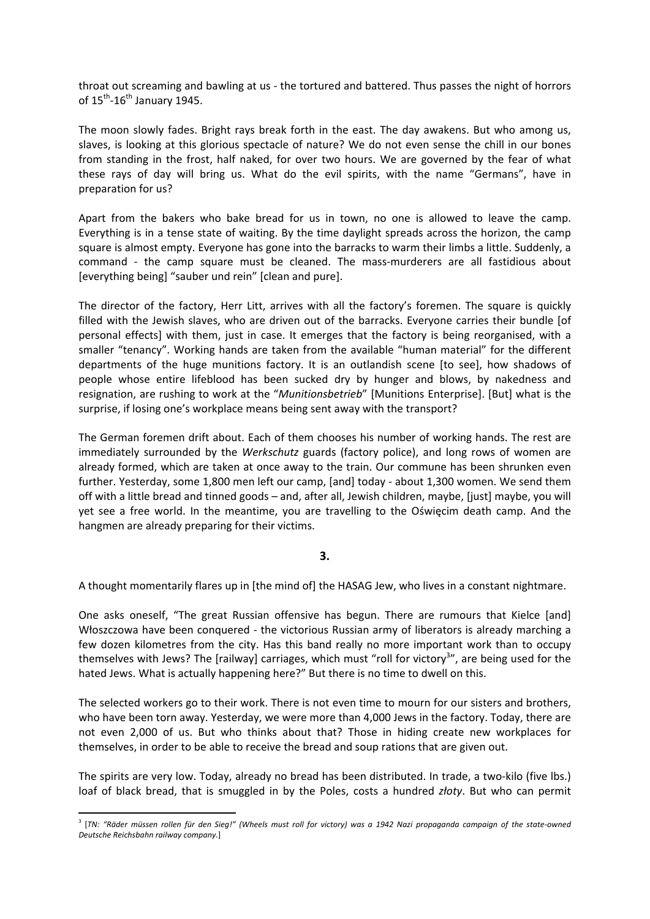throat out screaming and bawling at us ‐ the tortured and battered. Thus passes the night of horrors of  $15^{th}$ -16<sup>th</sup> January 1945.

The moon slowly fades. Bright rays break forth in the east. The day awakens. But who among us, slaves, is looking at this glorious spectacle of nature? We do not even sense the chill in our bones from standing in the frost, half naked, for over two hours. We are governed by the fear of what these rays of day will bring us. What do the evil spirits, with the name "Germans", have in preparation for us?

Apart from the bakers who bake bread for us in town, no one is allowed to leave the camp. Everything is in a tense state of waiting. By the time daylight spreads across the horizon, the camp square is almost empty. Everyone has gone into the barracks to warm their limbs a little. Suddenly, a command - the camp square must be cleaned. The mass-murderers are all fastidious about [everything being] "sauber und rein" [clean and pure].

The director of the factory, Herr Litt, arrives with all the factory's foremen. The square is quickly filled with the Jewish slaves, who are driven out of the barracks. Everyone carries their bundle [of personal effects] with them, just in case. It emerges that the factory is being reorganised, with a smaller "tenancy". Working hands are taken from the available "human material" for the different departments of the huge munitions factory. It is an outlandish scene [to see], how shadows of people whose entire lifeblood has been sucked dry by hunger and blows, by nakedness and resignation, are rushing to work at the "*Munitionsbetrieb*" [Munitions Enterprise]. [But] what is the surprise, if losing one's workplace means being sent away with the transport?

The German foremen drift about. Each of them chooses his number of working hands. The rest are immediately surrounded by the *Werkschutz* guards (factory police), and long rows of women are already formed, which are taken at once away to the train. Our commune has been shrunken even further. Yesterday, some 1,800 men left our camp, [and] today ‐ about 1,300 women. We send them off with a little bread and tinned goods – and, after all, Jewish children, maybe, [just] maybe, you will yet see a free world. In the meantime, you are travelling to the Oświęcim death camp. And the hangmen are already preparing for their victims.

# **3.**

A thought momentarily flares up in [the mind of] the HASAG Jew, who lives in a constant nightmare.

One asks oneself, "The great Russian offensive has begun. There are rumours that Kielce [and] Włoszczowa have been conquered ‐ the victorious Russian army of liberators is already marching a few dozen kilometres from the city. Has this band really no more important work than to occupy themselves with Jews? The [railway] carriages, which must "roll for victory<sup>3</sup>", are being used for the hated Jews. What is actually happening here?" But there is no time to dwell on this.

The selected workers go to their work. There is not even time to mourn for our sisters and brothers, who have been torn away. Yesterday, we were more than 4,000 Jews in the factory. Today, there are not even 2,000 of us. But who thinks about that? Those in hiding create new workplaces for themselves, in order to be able to receive the bread and soup rations that are given out.

The spirits are very low. Today, already no bread has been distributed. In trade, a two‐kilo (five lbs.) loaf of black bread, that is smuggled in by the Poles, costs a hundred *złoty*. But who can permit

<sup>&</sup>lt;sup>3</sup> [TN: "Räder müssen rollen für den Sieg!" (Wheels must roll for victory) was a 1942 Nazi propaganda campaign of the state-owned *Deutsche Reichsbahn railway company.*]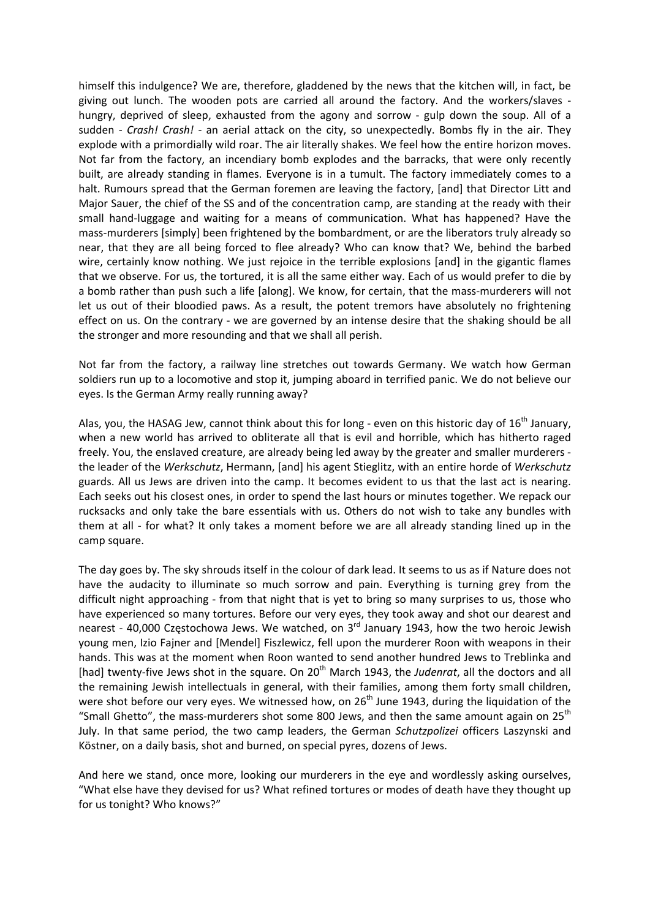himself this indulgence? We are, therefore, gladdened by the news that the kitchen will, in fact, be giving out lunch. The wooden pots are carried all around the factory. And the workers/slaves ‐ hungry, deprived of sleep, exhausted from the agony and sorrow - gulp down the soup. All of a sudden - Crash! Crash! - an aerial attack on the city, so unexpectedly. Bombs fly in the air. They explode with a primordially wild roar. The air literally shakes. We feel how the entire horizon moves. Not far from the factory, an incendiary bomb explodes and the barracks, that were only recently built, are already standing in flames. Everyone is in a tumult. The factory immediately comes to a halt. Rumours spread that the German foremen are leaving the factory, [and] that Director Litt and Major Sauer, the chief of the SS and of the concentration camp, are standing at the ready with their small hand‐luggage and waiting for a means of communication. What has happened? Have the mass-murderers [simply] been frightened by the bombardment, or are the liberators truly already so near, that they are all being forced to flee already? Who can know that? We, behind the barbed wire, certainly know nothing. We just rejoice in the terrible explosions [and] in the gigantic flames that we observe. For us, the tortured, it is all the same either way. Each of us would prefer to die by a bomb rather than push such a life [along]. We know, for certain, that the mass-murderers will not let us out of their bloodied paws. As a result, the potent tremors have absolutely no frightening effect on us. On the contrary ‐ we are governed by an intense desire that the shaking should be all the stronger and more resounding and that we shall all perish.

Not far from the factory, a railway line stretches out towards Germany. We watch how German soldiers run up to a locomotive and stop it, jumping aboard in terrified panic. We do not believe our eyes. Is the German Army really running away?

Alas, you, the HASAG Jew, cannot think about this for long - even on this historic day of 16<sup>th</sup> January, when a new world has arrived to obliterate all that is evil and horrible, which has hitherto raged freely. You, the enslaved creature, are already being led away by the greater and smaller murderers ‐ the leader of the *Werkschutz*, Hermann, [and] his agent Stieglitz, with an entire horde of *Werkschutz* guards. All us Jews are driven into the camp. It becomes evident to us that the last act is nearing. Each seeks out his closest ones, in order to spend the last hours or minutes together. We repack our rucksacks and only take the bare essentials with us. Others do not wish to take any bundles with them at all - for what? It only takes a moment before we are all already standing lined up in the camp square.

The day goes by. The sky shrouds itself in the colour of dark lead. It seems to us as if Nature does not have the audacity to illuminate so much sorrow and pain. Everything is turning grey from the difficult night approaching ‐ from that night that is yet to bring so many surprises to us, those who have experienced so many tortures. Before our very eyes, they took away and shot our dearest and nearest - 40,000 Częstochowa Jews. We watched, on  $3<sup>rd</sup>$  January 1943, how the two heroic Jewish young men, Izio Fajner and [Mendel] Fiszlewicz, fell upon the murderer Roon with weapons in their hands. This was at the moment when Roon wanted to send another hundred Jews to Treblinka and [had] twenty-five Jews shot in the square. On 20<sup>th</sup> March 1943, the *Judenrat*, all the doctors and all the remaining Jewish intellectuals in general, with their families, among them forty small children, were shot before our very eyes. We witnessed how, on 26<sup>th</sup> June 1943, during the liquidation of the "Small Ghetto", the mass-murderers shot some 800 Jews, and then the same amount again on  $25^{th}$ July. In that same period, the two camp leaders, the German *Schutzpolizei* officers Laszynski and Köstner, on a daily basis, shot and burned, on special pyres, dozens of Jews.

And here we stand, once more, looking our murderers in the eye and wordlessly asking ourselves, "What else have they devised for us? What refined tortures or modes of death have they thought up for us tonight? Who knows?"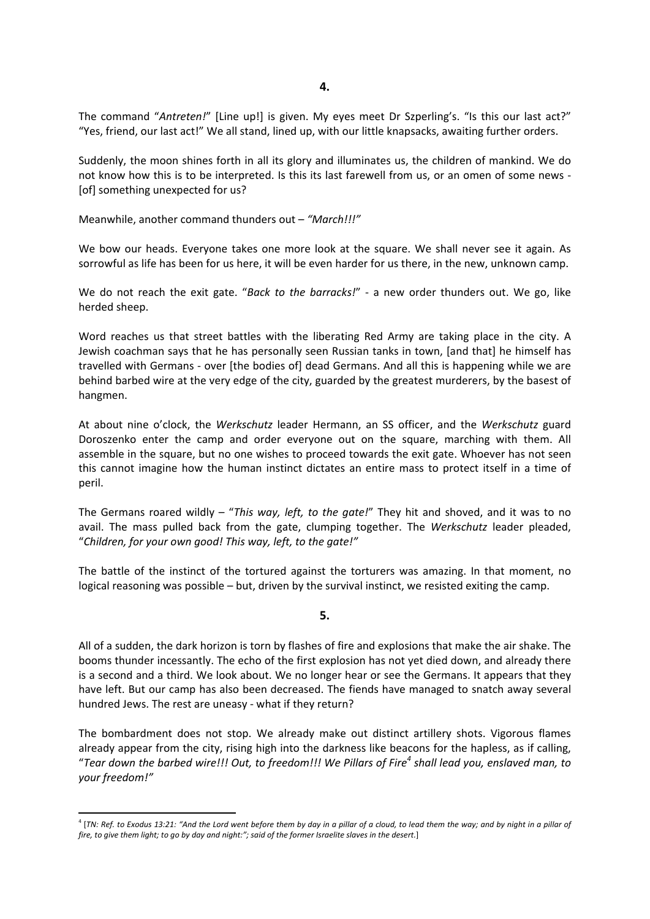The command "*Antreten!*" [Line up!] is given. My eyes meet Dr Szperling's. "Is this our last act?" "Yes, friend, our last act!" We all stand, lined up, with our little knapsacks, awaiting further orders.

Suddenly, the moon shines forth in all its glory and illuminates us, the children of mankind. We do not know how this is to be interpreted. Is this its last farewell from us, or an omen of some news -[of] something unexpected for us?

Meanwhile, another command thunders out – *"March!!!"* 

We bow our heads. Everyone takes one more look at the square. We shall never see it again. As sorrowful as life has been for us here, it will be even harder for us there, in the new, unknown camp.

We do not reach the exit gate. "Back to the barracks!" - a new order thunders out. We go, like herded sheep.

Word reaches us that street battles with the liberating Red Army are taking place in the city. A Jewish coachman says that he has personally seen Russian tanks in town, [and that] he himself has travelled with Germans ‐ over [the bodies of] dead Germans. And all this is happening while we are behind barbed wire at the very edge of the city, guarded by the greatest murderers, by the basest of hangmen.

At about nine o'clock, the *Werkschutz* leader Hermann, an SS officer, and the *Werkschutz* guard Doroszenko enter the camp and order everyone out on the square, marching with them. All assemble in the square, but no one wishes to proceed towards the exit gate. Whoever has not seen this cannot imagine how the human instinct dictates an entire mass to protect itself in a time of peril.

The Germans roared wildly – "*This way, left, to the gate!*" They hit and shoved, and it was to no avail. The mass pulled back from the gate, clumping together. The *Werkschutz* leader pleaded, "*Children, for your own good! This way, left, to the gate!"*

The battle of the instinct of the tortured against the torturers was amazing. In that moment, no logical reasoning was possible – but, driven by the survival instinct, we resisted exiting the camp.

#### **5.**

All of a sudden, the dark horizon is torn by flashes of fire and explosions that make the air shake. The booms thunder incessantly. The echo of the first explosion has not yet died down, and already there is a second and a third. We look about. We no longer hear or see the Germans. It appears that they have left. But our camp has also been decreased. The fiends have managed to snatch away several hundred Jews. The rest are uneasy ‐ what if they return?

The bombardment does not stop. We already make out distinct artillery shots. Vigorous flames already appear from the city, rising high into the darkness like beacons for the hapless, as if calling, "Tear down the barbed wire!!! Out, to freedom!!! We Pillars of Fire<sup>4</sup> shall lead you, enslaved man, to *your freedom!"*

<sup>&</sup>lt;sup>4</sup> [TN: Ref. to Exodus 13:21: "And the Lord went before them by day in a pillar of a cloud, to lead them the way; and by night in a pillar of fire, to give them light; to go by day and night:"; said of the former Israelite slaves in the desert.]